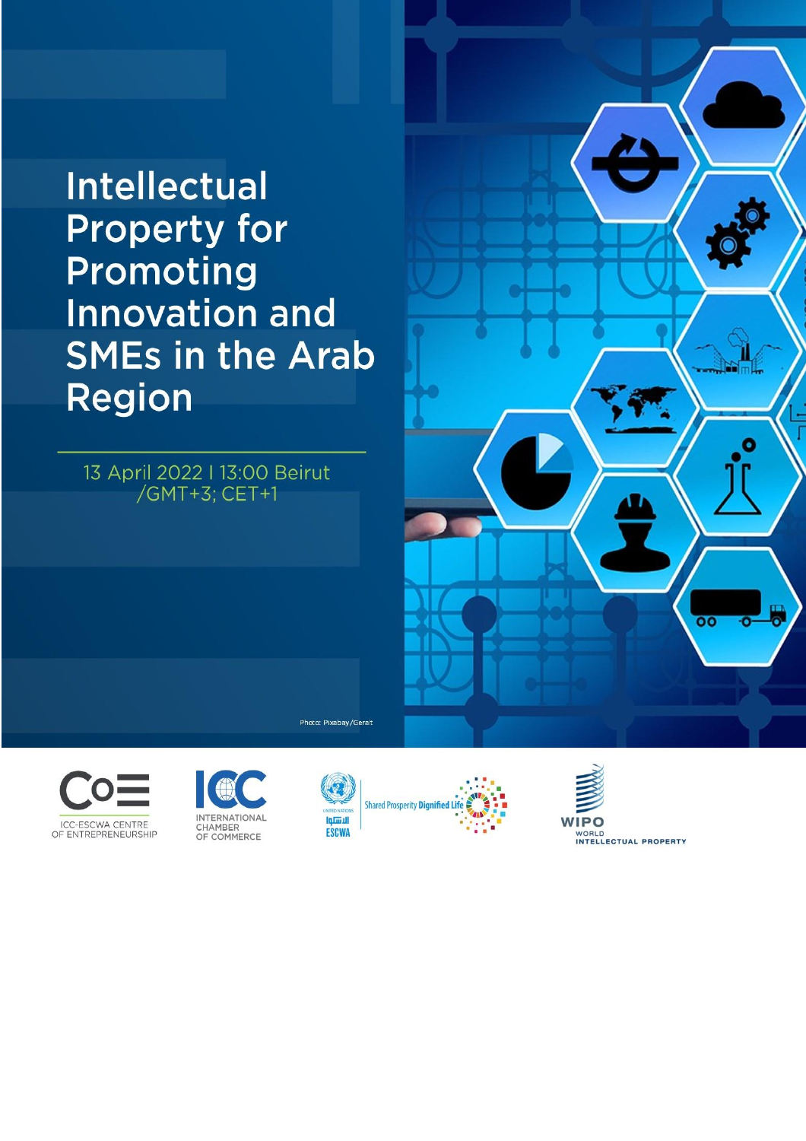# **Intellectual Property for** Promoting **Innovation and SMEs in the Arab Region**



**INTERNATIONAL** 

CHAMBER<br>OF COMMERCE





Photo: Pixabay/Geralt





**WIPO** WORLD<br>INTELLECTUAL PROPERTY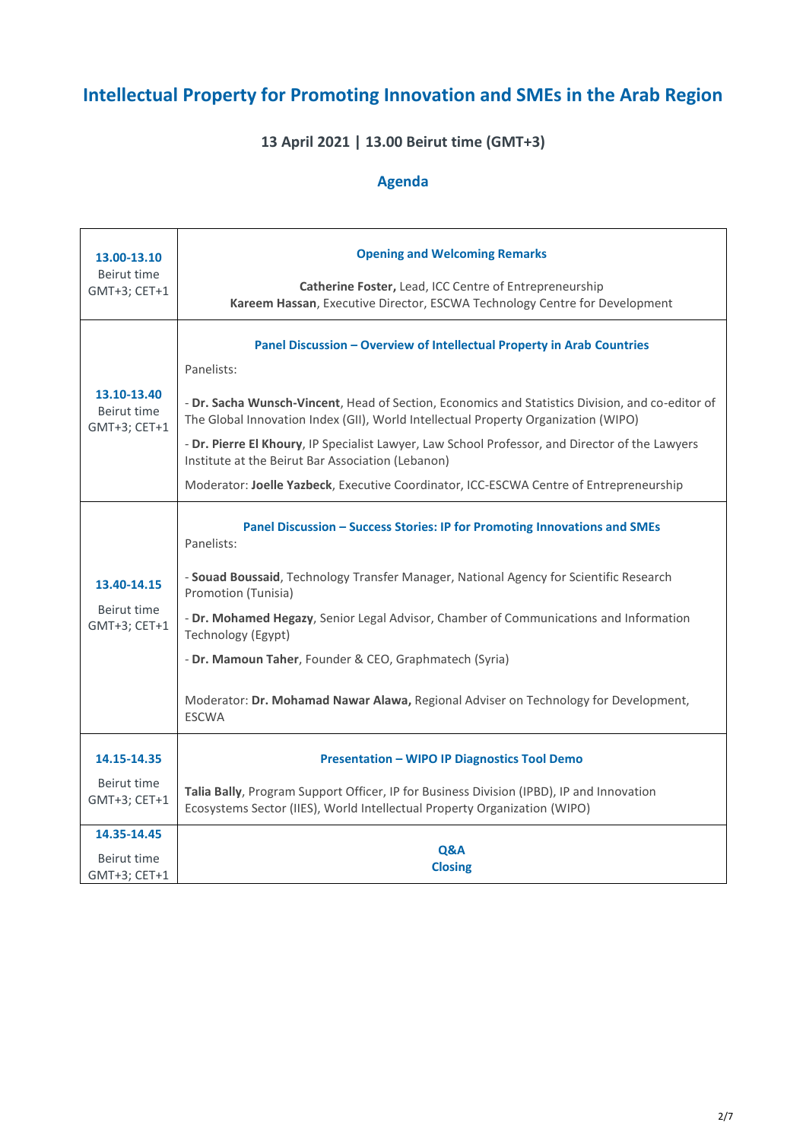# **Intellectual Property for Promoting Innovation and SMEs in the Arab Region**

# **13 April 2021 | 13.00 Beirut time (GMT+3)**

# **Agenda**

| 13.00-13.10<br>Beirut time<br>GMT+3; CET+1 | <b>Opening and Welcoming Remarks</b><br>Catherine Foster, Lead, ICC Centre of Entrepreneurship<br>Kareem Hassan, Executive Director, ESCWA Technology Centre for Development                                                                                                                                                                                                                                                                                                                                                     |
|--------------------------------------------|----------------------------------------------------------------------------------------------------------------------------------------------------------------------------------------------------------------------------------------------------------------------------------------------------------------------------------------------------------------------------------------------------------------------------------------------------------------------------------------------------------------------------------|
| 13.10-13.40<br>Beirut time<br>GMT+3; CET+1 | Panel Discussion - Overview of Intellectual Property in Arab Countries<br>Panelists:<br>- Dr. Sacha Wunsch-Vincent, Head of Section, Economics and Statistics Division, and co-editor of<br>The Global Innovation Index (GII), World Intellectual Property Organization (WIPO)<br>- Dr. Pierre El Khoury, IP Specialist Lawyer, Law School Professor, and Director of the Lawyers<br>Institute at the Beirut Bar Association (Lebanon)<br>Moderator: Joelle Yazbeck, Executive Coordinator, ICC-ESCWA Centre of Entrepreneurship |
| 13.40-14.15<br>Beirut time<br>GMT+3; CET+1 | Panel Discussion - Success Stories: IP for Promoting Innovations and SMEs<br>Panelists:<br>- Souad Boussaid, Technology Transfer Manager, National Agency for Scientific Research<br>Promotion (Tunisia)<br>- Dr. Mohamed Hegazy, Senior Legal Advisor, Chamber of Communications and Information<br>Technology (Egypt)<br>- Dr. Mamoun Taher, Founder & CEO, Graphmatech (Syria)<br>Moderator: Dr. Mohamad Nawar Alawa, Regional Adviser on Technology for Development,<br><b>ESCWA</b>                                         |
| 14.15-14.35<br>Beirut time<br>GMT+3; CET+1 | <b>Presentation - WIPO IP Diagnostics Tool Demo</b><br>Talia Bally, Program Support Officer, IP for Business Division (IPBD), IP and Innovation<br>Ecosystems Sector (IIES), World Intellectual Property Organization (WIPO)                                                                                                                                                                                                                                                                                                     |
| 14.35-14.45<br>Beirut time<br>GMT+3; CET+1 | Q&A<br><b>Closing</b>                                                                                                                                                                                                                                                                                                                                                                                                                                                                                                            |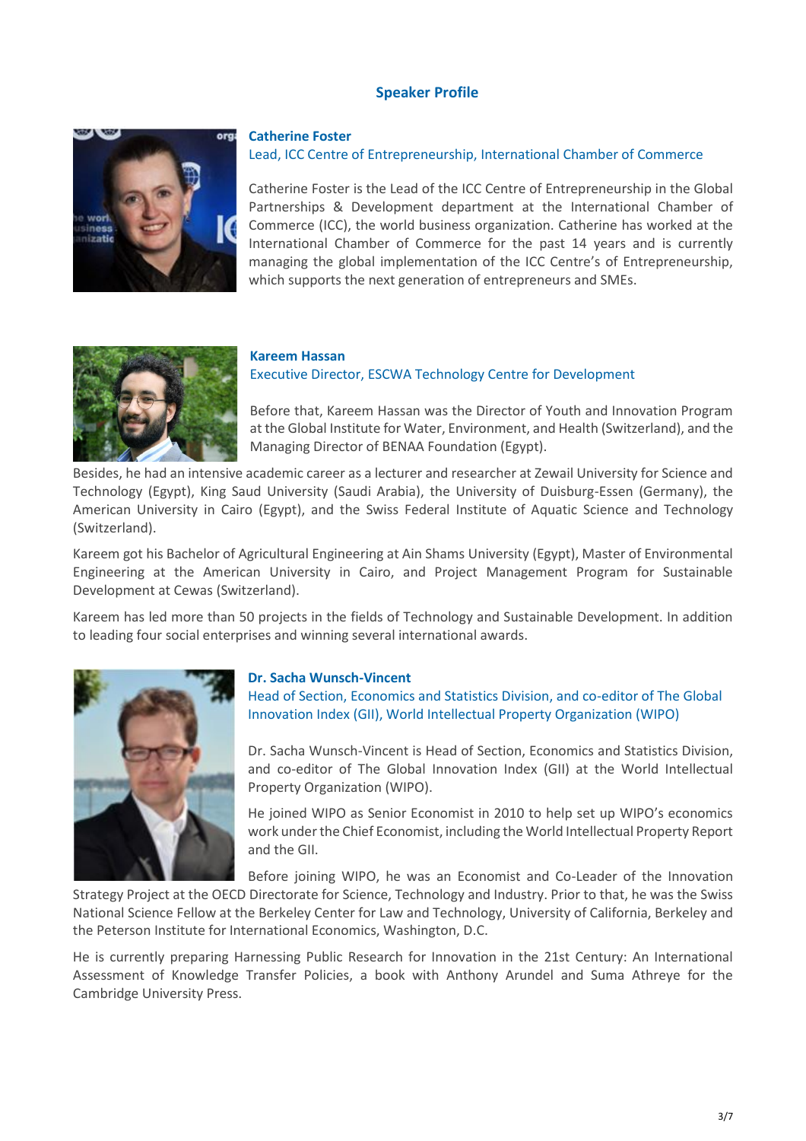# **Speaker Profile**



#### **Catherine Foster**

## Lead, ICC Centre of Entrepreneurship, International Chamber of Commerce

Catherine Foster is the Lead of the ICC Centre of Entrepreneurship in the Global Partnerships & Development department at the International Chamber of Commerce (ICC), the world business organization. Catherine has worked at the International Chamber of Commerce for the past 14 years and is currently managing the global implementation of the ICC Centre's of Entrepreneurship, which supports the next generation of entrepreneurs and SMEs.



#### **Kareem Hassan**

Executive Director, ESCWA Technology Centre for Development

Before that, Kareem Hassan was the Director of Youth and Innovation Program at the Global Institute for Water, Environment, and Health (Switzerland), and the Managing Director of BENAA Foundation (Egypt).

Besides, he had an intensive academic career as a lecturer and researcher at Zewail University for Science and Technology (Egypt), King Saud University (Saudi Arabia), the University of Duisburg-Essen (Germany), the American University in Cairo (Egypt), and the Swiss Federal Institute of Aquatic Science and Technology (Switzerland).

Kareem got his Bachelor of Agricultural Engineering at Ain Shams University (Egypt), Master of Environmental Engineering at the American University in Cairo, and Project Management Program for Sustainable Development at Cewas (Switzerland).

Kareem has led more than 50 projects in the fields of Technology and Sustainable Development. In addition to leading four social enterprises and winning several international awards.



#### **Dr. Sacha Wunsch-Vincent**

Head of Section, Economics and Statistics Division, and co-editor of The Global Innovation Index (GII), World Intellectual Property Organization (WIPO)

Dr. Sacha Wunsch-Vincent is Head of Section, Economics and Statistics Division, and co-editor of The Global Innovation Index (GII) at the World Intellectual Property Organization (WIPO).

He joined WIPO as Senior Economist in 2010 to help set up WIPO's economics work under the Chief Economist, including the World Intellectual Property Report and the GII.

Before joining WIPO, he was an Economist and Co-Leader of the Innovation

Strategy Project at the OECD Directorate for Science, Technology and Industry. Prior to that, he was the Swiss National Science Fellow at the Berkeley Center for Law and Technology, University of California, Berkeley and the Peterson Institute for International Economics, Washington, D.C.

He is currently preparing Harnessing Public Research for Innovation in the 21st Century: An International Assessment of Knowledge Transfer Policies, a book with Anthony Arundel and Suma Athreye for the Cambridge University Press.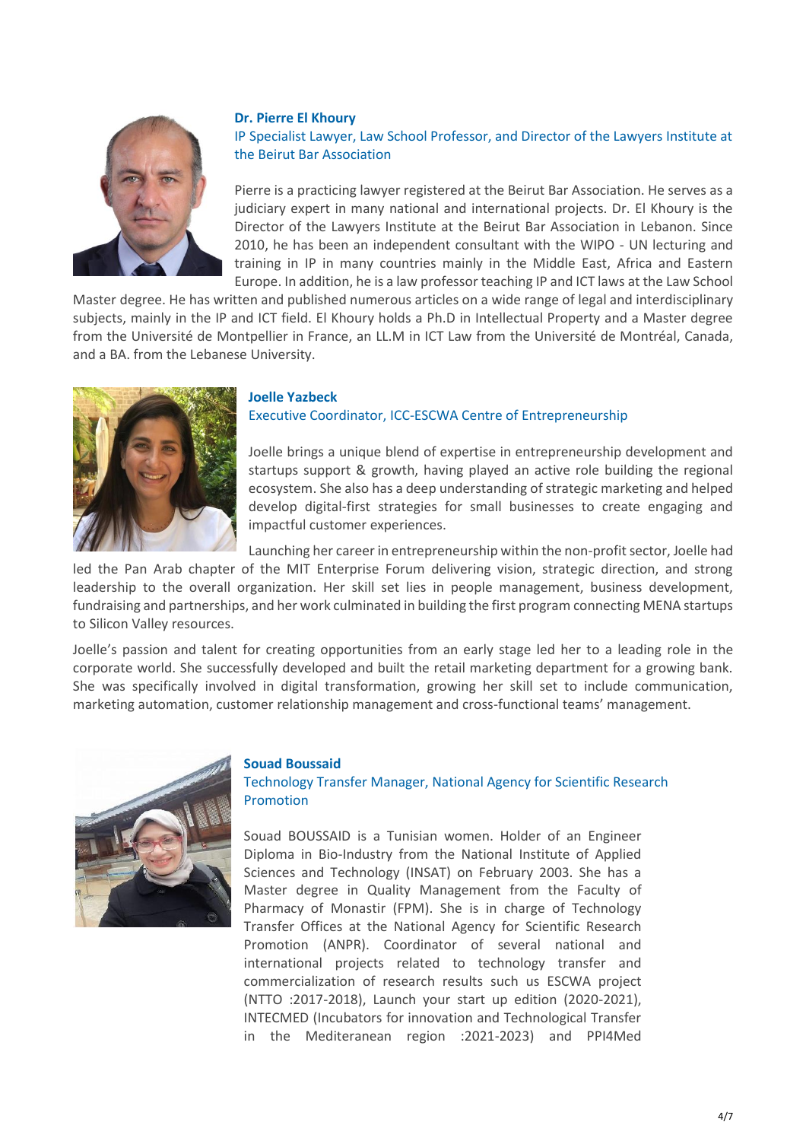

#### **Dr. Pierre El Khoury**

# IP Specialist Lawyer, Law School Professor, and Director of the Lawyers Institute at the Beirut Bar Association

Pierre is a practicing lawyer registered at the Beirut Bar Association. He serves as a judiciary expert in many national and international projects. Dr. El Khoury is the Director of the Lawyers Institute at the Beirut Bar Association in Lebanon. Since 2010, he has been an independent consultant with the WIPO - UN lecturing and training in IP in many countries mainly in the Middle East, Africa and Eastern Europe. In addition, he is a law professor teaching IP and ICT laws at the Law School

Master degree. He has written and published numerous articles on a wide range of legal and interdisciplinary subjects, mainly in the IP and ICT field. El Khoury holds a Ph.D in Intellectual Property and a Master degree from the Université de Montpellier in France, an LL.M in ICT Law from the Université de Montréal, Canada, and a BA. from the Lebanese University.



## **Joelle Yazbeck**

## Executive Coordinator, ICC-ESCWA Centre of Entrepreneurship

Joelle brings a unique blend of expertise in entrepreneurship development and startups support & growth, having played an active role building the regional ecosystem. She also has a deep understanding of strategic marketing and helped develop digital-first strategies for small businesses to create engaging and impactful customer experiences.

Launching her career in entrepreneurship within the non-profit sector, Joelle had

led the Pan Arab chapter of the MIT Enterprise Forum delivering vision, strategic direction, and strong leadership to the overall organization. Her skill set lies in people management, business development, fundraising and partnerships, and her work culminated in building the first program connecting MENA startups to Silicon Valley resources.

Joelle's passion and talent for creating opportunities from an early stage led her to a leading role in the corporate world. She successfully developed and built the retail marketing department for a growing bank. She was specifically involved in digital transformation, growing her skill set to include communication, marketing automation, customer relationship management and cross-functional teams' management.



#### **Souad Boussaid**

Technology Transfer Manager, National Agency for Scientific Research **Promotion** 

Souad BOUSSAID is a Tunisian women. Holder of an Engineer Diploma in Bio-Industry from the National Institute of Applied Sciences and Technology (INSAT) on February 2003. She has a Master degree in Quality Management from the Faculty of Pharmacy of Monastir (FPM). She is in charge of Technology Transfer Offices at the National Agency for Scientific Research Promotion (ANPR). Coordinator of several national and international projects related to technology transfer and commercialization of research results such us ESCWA project (NTTO :2017-2018), Launch your start up edition (2020-2021), INTECMED (Incubators for innovation and Technological Transfer in the Mediteranean region :2021-2023) and PPI4Med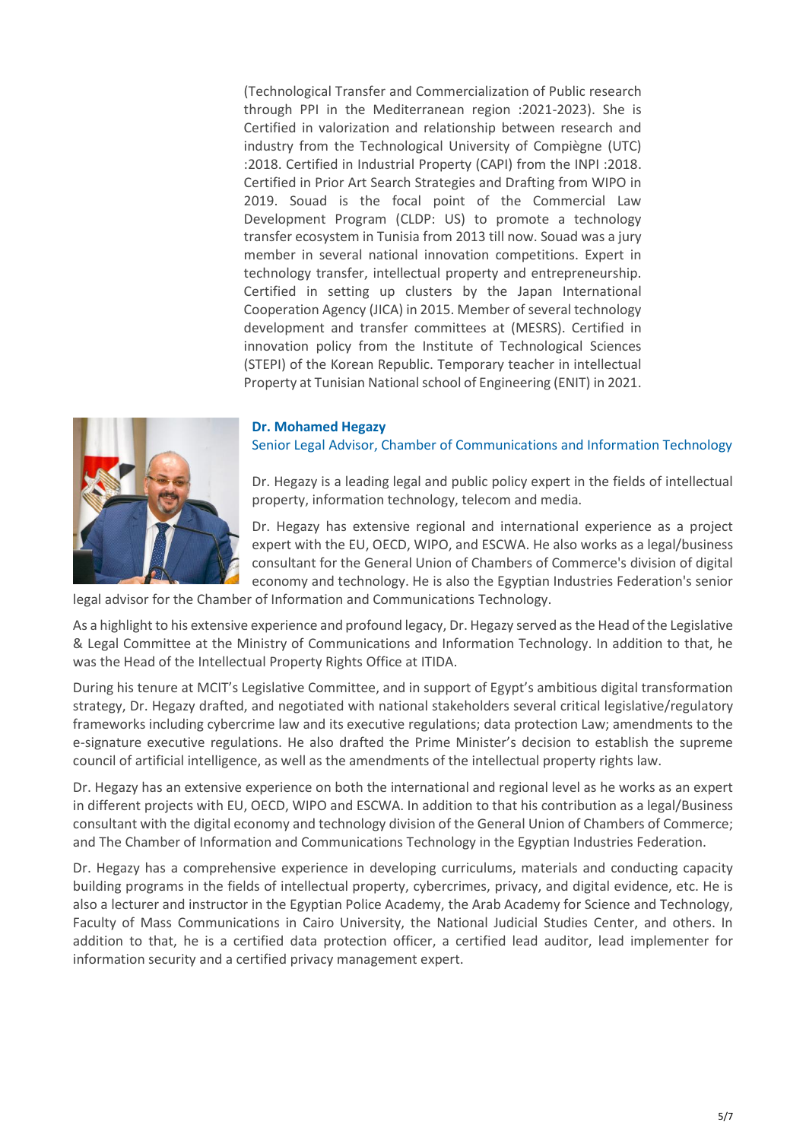(Technological Transfer and Commercialization of Public research through PPI in the Mediterranean region :2021-2023). She is Certified in valorization and relationship between research and industry from the Technological University of Compiègne (UTC) :2018. Certified in Industrial Property (CAPI) from the INPI :2018. Certified in Prior Art Search Strategies and Drafting from WIPO in 2019. Souad is the focal point of the Commercial Law Development Program (CLDP: US) to promote a technology transfer ecosystem in Tunisia from 2013 till now. Souad was a jury member in several national innovation competitions. Expert in technology transfer, intellectual property and entrepreneurship. Certified in setting up clusters by the Japan International Cooperation Agency (JICA) in 2015. Member of several technology development and transfer committees at (MESRS). Certified in innovation policy from the Institute of Technological Sciences (STEPI) of the Korean Republic. Temporary teacher in intellectual Property at Tunisian National school of Engineering (ENIT) in 2021.

## **Dr. Mohamed Hegazy**

Senior Legal Advisor, Chamber of Communications and Information Technology



Dr. Hegazy has extensive regional and international experience as a project expert with the EU, OECD, WIPO, and ESCWA. He also works as a legal/business consultant for the General Union of Chambers of Commerce's division of digital economy and technology. He is also the Egyptian Industries Federation's senior

legal advisor for the Chamber of Information and Communications Technology.

As a highlight to his extensive experience and profound legacy, Dr. Hegazy served as the Head of the Legislative & Legal Committee at the Ministry of Communications and Information Technology. In addition to that, he was the Head of the Intellectual Property Rights Office at ITIDA.

During his tenure at MCIT's Legislative Committee, and in support of Egypt's ambitious digital transformation strategy, Dr. Hegazy drafted, and negotiated with national stakeholders several critical legislative/regulatory frameworks including cybercrime law and its executive regulations; data protection Law; amendments to the e-signature executive regulations. He also drafted the Prime Minister's decision to establish the supreme council of artificial intelligence, as well as the amendments of the intellectual property rights law.

Dr. Hegazy has an extensive experience on both the international and regional level as he works as an expert in different projects with EU, OECD, WIPO and ESCWA. In addition to that his contribution as a legal/Business consultant with the digital economy and technology division of the General Union of Chambers of Commerce; and The Chamber of Information and Communications Technology in the Egyptian Industries Federation.

Dr. Hegazy has a comprehensive experience in developing curriculums, materials and conducting capacity building programs in the fields of intellectual property, cybercrimes, privacy, and digital evidence, etc. He is also a lecturer and instructor in the Egyptian Police Academy, the Arab Academy for Science and Technology, Faculty of Mass Communications in Cairo University, the National Judicial Studies Center, and others. In addition to that, he is a certified data protection officer, a certified lead auditor, lead implementer for information security and a certified privacy management expert.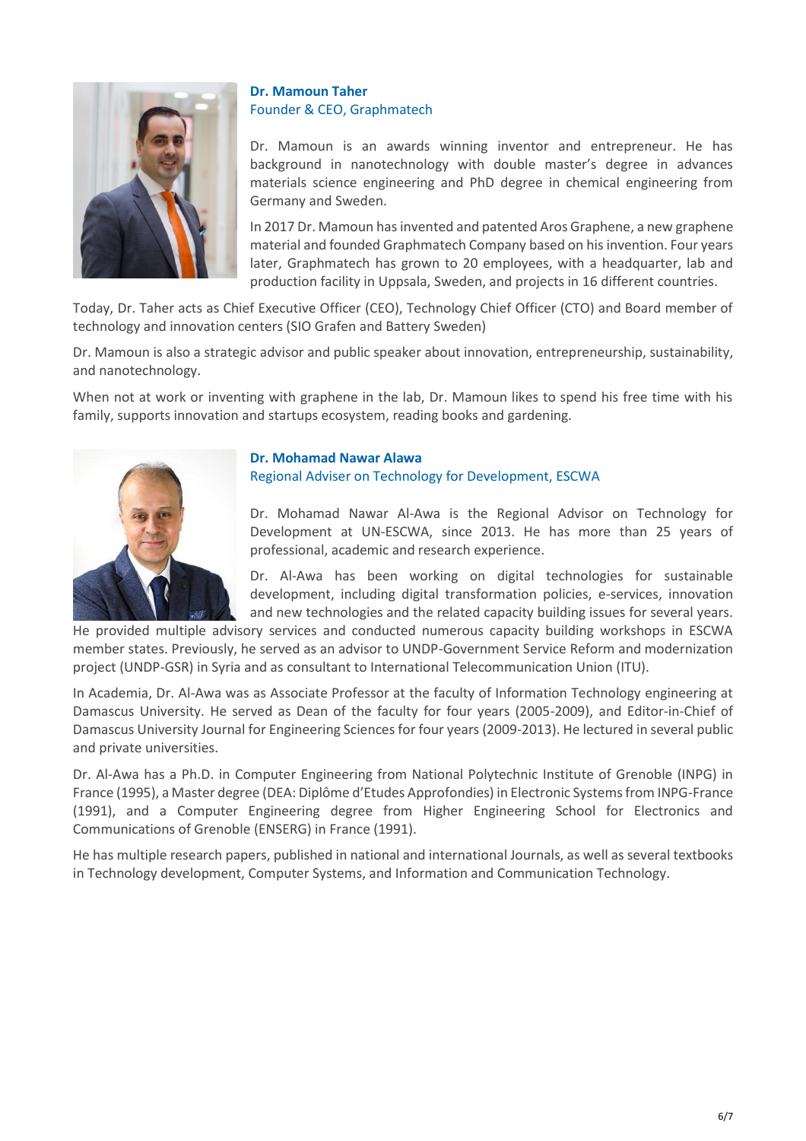

# **Dr. Mamoun Taher** Founder & CEO, Graphmatech

Dr. Mamoun is an awards winning inventor and entrepreneur. He has background in nanotechnology with double master's degree in advances materials science engineering and PhD degree in chemical engineering from Germany and Sweden.

In 2017 Dr. Mamoun has invented and patented Aros Graphene, a new graphene material and founded Graphmatech Company based on his invention. Four years later, Graphmatech has grown to 20 employees, with a headquarter, lab and production facility in Uppsala, Sweden, and projects in 16 different countries.

Today, Dr. Taher acts as Chief Executive Officer (CEO), Technology Chief Officer (CTO) and Board member of technology and innovation centers (SIO Grafen and Battery Sweden)

Dr. Mamoun is also a strategic advisor and public speaker about innovation, entrepreneurship, sustainability, and nanotechnology.

When not at work or inventing with graphene in the lab, Dr. Mamoun likes to spend his free time with his family, supports innovation and startups ecosystem, reading books and gardening.



# **Dr. Mohamad Nawar Alawa**  Regional Adviser on Technology for Development, ESCWA

Dr. Mohamad Nawar Al-Awa is the Regional Advisor on Technology for Development at UN-ESCWA, since 2013. He has more than 25 years of professional, academic and research experience.

Dr. Al-Awa has been working on digital technologies for sustainable development, including digital transformation policies, e-services, innovation and new technologies and the related capacity building issues for several years.

He provided multiple advisory services and conducted numerous capacity building workshops in ESCWA member states. Previously, he served as an advisor to UNDP-Government Service Reform and modernization project (UNDP-GSR) in Syria and as consultant to International Telecommunication Union (ITU).

In Academia, Dr. Al-Awa was as Associate Professor at the faculty of Information Technology engineering at Damascus University. He served as Dean of the faculty for four years (2005-2009), and Editor-in-Chief of Damascus University Journal for Engineering Sciences for four years (2009-2013). He lectured in several public and private universities.

Dr. Al-Awa has a Ph.D. in Computer Engineering from National Polytechnic Institute of Grenoble (INPG) in France (1995), a Master degree (DEA: Diplôme d'Etudes Approfondies) in Electronic Systems from INPG-France (1991), and a Computer Engineering degree from Higher Engineering School for Electronics and Communications of Grenoble (ENSERG) in France (1991).

He has multiple research papers, published in national and international Journals, as well as several textbooks in Technology development, Computer Systems, and Information and Communication Technology.